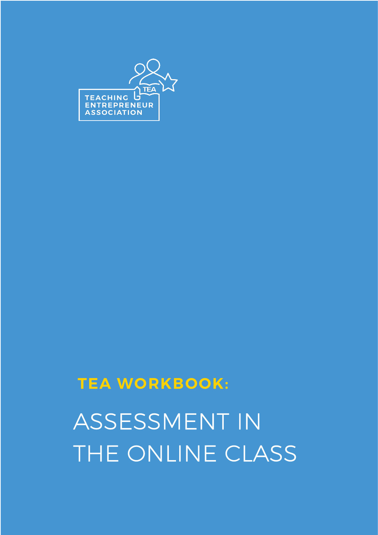

# **TEA WORKBOOK:**

ASSESSMENT IN THE ONLINE CLASS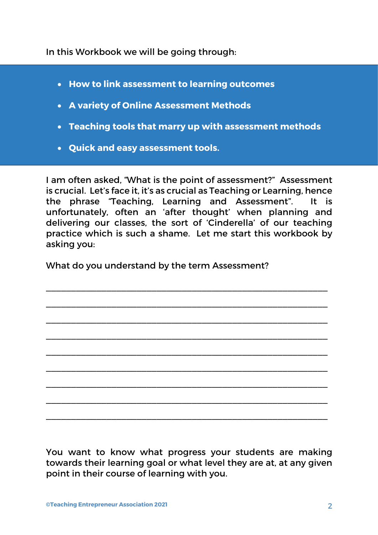In this Workbook we will be going through:

- **How to link assessment to learning outcomes**
- **A variety of Online Assessment Methods**
- **Teaching tools that marry up with assessment methods**
- **Quick and easy assessment tools.**

I am often asked, "What is the point of assessment?" Assessment is crucial. Let's face it, it's as crucial as Teaching or Learning, hence the phrase "Teaching, Learning and Assessment". It is unfortunately, often an 'after thought' when planning and delivering our classes, the sort of 'Cinderella' of our teaching practice which is such a shame. Let me start this workbook by asking you:

\_\_\_\_\_\_\_\_\_\_\_\_\_\_\_\_\_\_\_\_\_\_\_\_\_\_\_\_\_\_\_\_\_\_\_\_\_\_\_\_\_\_\_\_\_\_\_\_\_\_\_\_\_\_\_\_

\_\_\_\_\_\_\_\_\_\_\_\_\_\_\_\_\_\_\_\_\_\_\_\_\_\_\_\_\_\_\_\_\_\_\_\_\_\_\_\_\_\_\_\_\_\_\_\_\_\_\_\_\_\_\_\_

\_\_\_\_\_\_\_\_\_\_\_\_\_\_\_\_\_\_\_\_\_\_\_\_\_\_\_\_\_\_\_\_\_\_\_\_\_\_\_\_\_\_\_\_\_\_\_\_\_\_\_\_\_\_\_\_

\_\_\_\_\_\_\_\_\_\_\_\_\_\_\_\_\_\_\_\_\_\_\_\_\_\_\_\_\_\_\_\_\_\_\_\_\_\_\_\_\_\_\_\_\_\_\_\_\_\_\_\_\_\_\_\_

\_\_\_\_\_\_\_\_\_\_\_\_\_\_\_\_\_\_\_\_\_\_\_\_\_\_\_\_\_\_\_\_\_\_\_\_\_\_\_\_\_\_\_\_\_\_\_\_\_\_\_\_\_\_\_\_

\_\_\_\_\_\_\_\_\_\_\_\_\_\_\_\_\_\_\_\_\_\_\_\_\_\_\_\_\_\_\_\_\_\_\_\_\_\_\_\_\_\_\_\_\_\_\_\_\_\_\_\_\_\_\_\_

\_\_\_\_\_\_\_\_\_\_\_\_\_\_\_\_\_\_\_\_\_\_\_\_\_\_\_\_\_\_\_\_\_\_\_\_\_\_\_\_\_\_\_\_\_\_\_\_\_\_\_\_\_\_\_\_

\_\_\_\_\_\_\_\_\_\_\_\_\_\_\_\_\_\_\_\_\_\_\_\_\_\_\_\_\_\_\_\_\_\_\_\_\_\_\_\_\_\_\_\_\_\_\_\_\_\_\_\_\_\_\_\_

\_\_\_\_\_\_\_\_\_\_\_\_\_\_\_\_\_\_\_\_\_\_\_\_\_\_\_\_\_\_\_\_\_\_\_\_\_\_\_\_\_\_\_\_\_\_\_\_\_\_\_\_\_\_\_\_

What do you understand by the term Assessment?

You want to know what progress your students are making towards their learning goal or what level they are at, at any given point in their course of learning with you.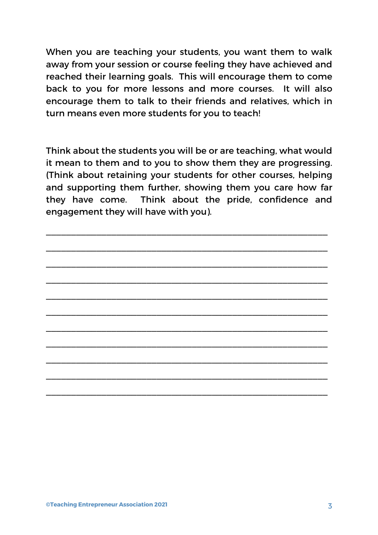When you are teaching your students, you want them to walk away from your session or course feeling they have achieved and reached their learning goals. This will encourage them to come back to you for more lessons and more courses. It will also encourage them to talk to their friends and relatives, which in turn means even more students for you to teach!

Think about the students you will be or are teaching, what would it mean to them and to you to show them they are progressing. (Think about retaining your students for other courses, helping and supporting them further, showing them you care how far they have come. Think about the pride, confidence and engagement they will have with you).

\_\_\_\_\_\_\_\_\_\_\_\_\_\_\_\_\_\_\_\_\_\_\_\_\_\_\_\_\_\_\_\_\_\_\_\_\_\_\_\_\_\_\_\_\_\_\_\_\_\_\_\_\_\_\_\_

\_\_\_\_\_\_\_\_\_\_\_\_\_\_\_\_\_\_\_\_\_\_\_\_\_\_\_\_\_\_\_\_\_\_\_\_\_\_\_\_\_\_\_\_\_\_\_\_\_\_\_\_\_\_\_\_

\_\_\_\_\_\_\_\_\_\_\_\_\_\_\_\_\_\_\_\_\_\_\_\_\_\_\_\_\_\_\_\_\_\_\_\_\_\_\_\_\_\_\_\_\_\_\_\_\_\_\_\_\_\_\_\_

\_\_\_\_\_\_\_\_\_\_\_\_\_\_\_\_\_\_\_\_\_\_\_\_\_\_\_\_\_\_\_\_\_\_\_\_\_\_\_\_\_\_\_\_\_\_\_\_\_\_\_\_\_\_\_\_

\_\_\_\_\_\_\_\_\_\_\_\_\_\_\_\_\_\_\_\_\_\_\_\_\_\_\_\_\_\_\_\_\_\_\_\_\_\_\_\_\_\_\_\_\_\_\_\_\_\_\_\_\_\_\_\_

\_\_\_\_\_\_\_\_\_\_\_\_\_\_\_\_\_\_\_\_\_\_\_\_\_\_\_\_\_\_\_\_\_\_\_\_\_\_\_\_\_\_\_\_\_\_\_\_\_\_\_\_\_\_\_\_

\_\_\_\_\_\_\_\_\_\_\_\_\_\_\_\_\_\_\_\_\_\_\_\_\_\_\_\_\_\_\_\_\_\_\_\_\_\_\_\_\_\_\_\_\_\_\_\_\_\_\_\_\_\_\_\_

\_\_\_\_\_\_\_\_\_\_\_\_\_\_\_\_\_\_\_\_\_\_\_\_\_\_\_\_\_\_\_\_\_\_\_\_\_\_\_\_\_\_\_\_\_\_\_\_\_\_\_\_\_\_\_\_

\_\_\_\_\_\_\_\_\_\_\_\_\_\_\_\_\_\_\_\_\_\_\_\_\_\_\_\_\_\_\_\_\_\_\_\_\_\_\_\_\_\_\_\_\_\_\_\_\_\_\_\_\_\_\_\_

\_\_\_\_\_\_\_\_\_\_\_\_\_\_\_\_\_\_\_\_\_\_\_\_\_\_\_\_\_\_\_\_\_\_\_\_\_\_\_\_\_\_\_\_\_\_\_\_\_\_\_\_\_\_\_\_

\_\_\_\_\_\_\_\_\_\_\_\_\_\_\_\_\_\_\_\_\_\_\_\_\_\_\_\_\_\_\_\_\_\_\_\_\_\_\_\_\_\_\_\_\_\_\_\_\_\_\_\_\_\_\_\_

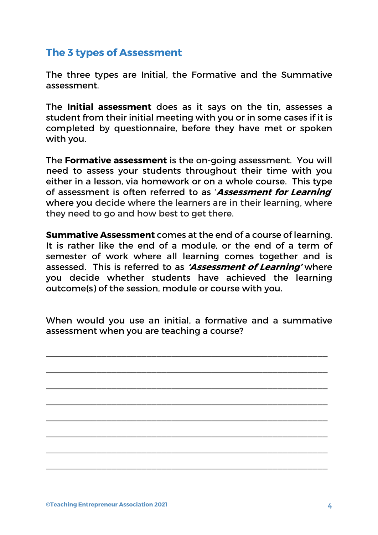### **The 3 types of Assessment**

The three types are Initial, the Formative and the Summative assessment.

The **Initial assessment** does as it says on the tin, assesses a student from their initial meeting with you or in some cases if it is completed by questionnaire, before they have met or spoken with you.

The **Formative assessment** is the on-going assessment. You will need to assess your students throughout their time with you either in a lesson, via homework or on a whole course. This type of assessment is often referred to as '**Assessment for Learning**' where you decide where the learners are in their learning, where they need to go and how best to get there.

**Summative Assessment** comes at the end of a course of learning. It is rather like the end of a module, or the end of a term of semester of work where all learning comes together and is assessed. This is referred to as **'Assessment of Learning'** where you decide whether students have achieved the learning outcome(s) of the session, module or course with you.

When would you use an initial, a formative and a summative assessment when you are teaching a course?

\_\_\_\_\_\_\_\_\_\_\_\_\_\_\_\_\_\_\_\_\_\_\_\_\_\_\_\_\_\_\_\_\_\_\_\_\_\_\_\_\_\_\_\_\_\_\_\_\_\_\_\_\_\_\_\_

\_\_\_\_\_\_\_\_\_\_\_\_\_\_\_\_\_\_\_\_\_\_\_\_\_\_\_\_\_\_\_\_\_\_\_\_\_\_\_\_\_\_\_\_\_\_\_\_\_\_\_\_\_\_\_\_

\_\_\_\_\_\_\_\_\_\_\_\_\_\_\_\_\_\_\_\_\_\_\_\_\_\_\_\_\_\_\_\_\_\_\_\_\_\_\_\_\_\_\_\_\_\_\_\_\_\_\_\_\_\_\_\_

\_\_\_\_\_\_\_\_\_\_\_\_\_\_\_\_\_\_\_\_\_\_\_\_\_\_\_\_\_\_\_\_\_\_\_\_\_\_\_\_\_\_\_\_\_\_\_\_\_\_\_\_\_\_\_\_

\_\_\_\_\_\_\_\_\_\_\_\_\_\_\_\_\_\_\_\_\_\_\_\_\_\_\_\_\_\_\_\_\_\_\_\_\_\_\_\_\_\_\_\_\_\_\_\_\_\_\_\_\_\_\_\_

\_\_\_\_\_\_\_\_\_\_\_\_\_\_\_\_\_\_\_\_\_\_\_\_\_\_\_\_\_\_\_\_\_\_\_\_\_\_\_\_\_\_\_\_\_\_\_\_\_\_\_\_\_\_\_\_

\_\_\_\_\_\_\_\_\_\_\_\_\_\_\_\_\_\_\_\_\_\_\_\_\_\_\_\_\_\_\_\_\_\_\_\_\_\_\_\_\_\_\_\_\_\_\_\_\_\_\_\_\_\_\_\_

\_\_\_\_\_\_\_\_\_\_\_\_\_\_\_\_\_\_\_\_\_\_\_\_\_\_\_\_\_\_\_\_\_\_\_\_\_\_\_\_\_\_\_\_\_\_\_\_\_\_\_\_\_\_\_\_

**©Teaching Entrepreneur Association 2021** 4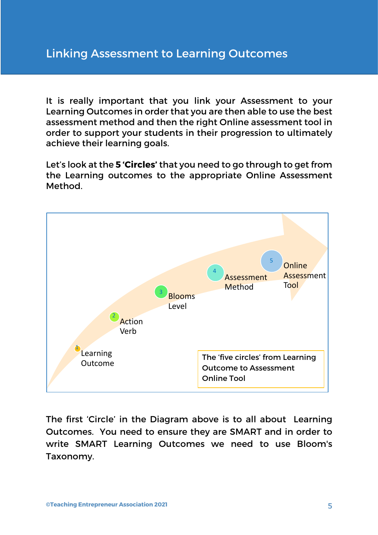It is really important that you link your Assessment to your Learning Outcomes in order that you are then able to use the best assessment method and then the right Online assessment tool in order to support your students in their progression to ultimately achieve their learning goals.

Let's look at the **5 'Circles'** that you need to go through to get from the Learning outcomes to the appropriate Online Assessment Method.



The first 'Circle' in the Diagram above is to all about Learning Outcomes. You need to ensure they are SMART and in order to write SMART Learning Outcomes we need to use Bloom's Taxonomy.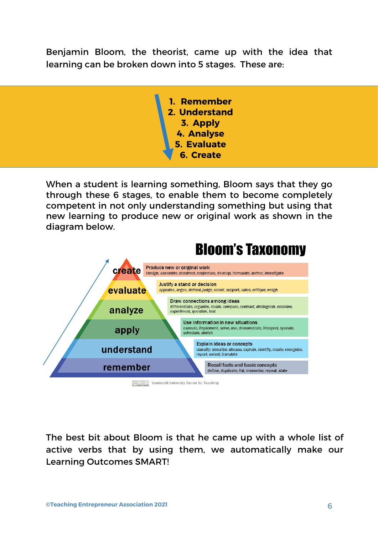Benjamin Bloom, the theorist, came up with the idea that learning can be broken down into 5 stages. These are:

> **1. Remember 2. Understand 3. Apply 4. Analyse 5. Evaluate 6. Create**

When a student is learning something, Bloom says that they go through these 6 stages, to enable them to become completely competent in not only understanding something but using that new learning to produce new or original work as shown in the diagram below.



The best bit about Bloom is that he came up with a whole list of active verbs that by using them, we automatically make our Learning Outcomes SMART!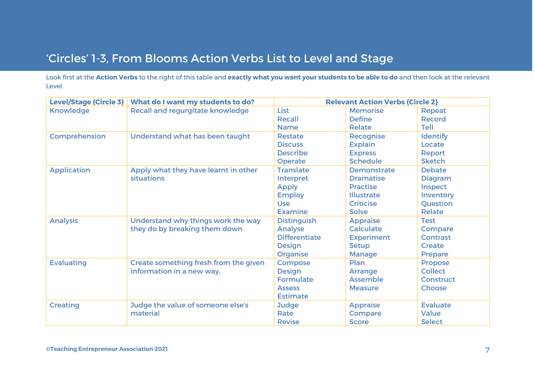## 'Circles' 1-3, From Blooms Action Verbs List to Level and Stage

Look first at the **Action Verbs** to the right of this table and **exactly what you want your students to be able to do** and then look at the relevant Level.

| <b>Level/Stage (Circle 3)</b> | What do I want my students to do?       | <b>Relevant Action Verbs (Circle 2)</b> |                    |                  |
|-------------------------------|-----------------------------------------|-----------------------------------------|--------------------|------------------|
| <b>Knowledge</b>              | <b>Recall and regurgitate knowledge</b> | <b>List</b>                             | <b>Memorise</b>    | Repeat           |
|                               |                                         | Recall                                  | <b>Define</b>      | <b>Record</b>    |
|                               |                                         | <b>Name</b>                             | <b>Relate</b>      | <b>Tell</b>      |
| <b>Comprehension</b>          | Understand what has been taught         | <b>Restate</b>                          | <b>Recognise</b>   | <b>Identify</b>  |
|                               |                                         | <b>Discuss</b>                          | <b>Explain</b>     | Locate           |
|                               |                                         | <b>Describe</b>                         | <b>Express</b>     | Report           |
|                               |                                         | <b>Operate</b>                          | <b>Schedule</b>    | <b>Sketch</b>    |
| <b>Application</b>            | Apply what they have learnt in other    | <b>Translate</b>                        | <b>Demonstrate</b> | <b>Debate</b>    |
|                               | situations                              | Interpret                               | <b>Dramatise</b>   | <b>Diagram</b>   |
|                               |                                         | <b>Apply</b>                            | <b>Practise</b>    | Inspect          |
|                               |                                         | <b>Employ</b>                           | <b>Illustrate</b>  | Inventory        |
|                               |                                         | <b>Use</b>                              | <b>Criticise</b>   | Question         |
|                               |                                         | <b>Examine</b>                          | <b>Solve</b>       | <b>Relate</b>    |
| <b>Analysis</b>               | Understand why things work the way      | <b>Distinguish</b>                      | <b>Appraise</b>    | <b>Test</b>      |
|                               | they do by breaking them down           | <b>Analyse</b>                          | <b>Calculate</b>   | Compare          |
|                               |                                         | <b>Differentiate</b>                    | <b>Experiment</b>  | <b>Contrast</b>  |
|                               |                                         | <b>Design</b>                           | <b>Setup</b>       | <b>Create</b>    |
|                               |                                         | Organise                                | <b>Manage</b>      | <b>Prepare</b>   |
| <b>Evaluating</b>             | Create something fresh from the given   | <b>Compose</b>                          | Plan               | <b>Propose</b>   |
|                               | information in a new way.               | <b>Design</b>                           | <b>Arrange</b>     | <b>Collect</b>   |
|                               |                                         | <b>Formulate</b>                        | <b>Assemble</b>    | <b>Construct</b> |
|                               |                                         | <b>Assess</b>                           | <b>Measure</b>     | <b>Choose</b>    |
|                               |                                         | <b>Estimate</b>                         |                    |                  |
| <b>Creating</b>               | Judge the value of someone else's       | <b>Judge</b>                            | <b>Appraise</b>    | <b>Evaluate</b>  |
|                               | material                                | Rate                                    | Compare            | <b>Value</b>     |
|                               |                                         | <b>Revise</b>                           | <b>Score</b>       | <b>Select</b>    |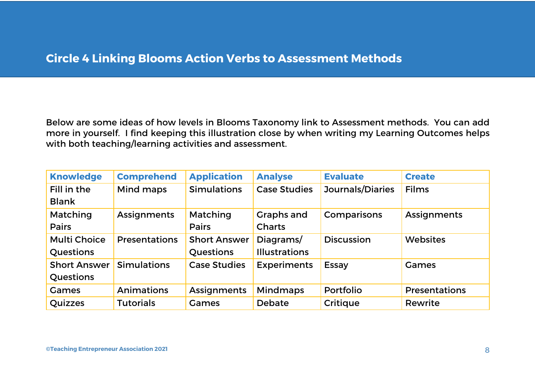## **Circle 4 Linking Blooms Action Verbs to Assessment Methods**

Below are some ideas of how levels in Blooms Taxonomy link to Assessment methods. You can add more in yourself. I find keeping this illustration close by when writing my Learning Outcomes helps with both teaching/learning activities and assessment.

| <b>Knowledge</b>    | <b>Comprehend</b>    | <b>Application</b>  | <b>Analyse</b>       | <b>Evaluate</b>         | <b>Create</b>        |
|---------------------|----------------------|---------------------|----------------------|-------------------------|----------------------|
| Fill in the         | Mind maps            | <b>Simulations</b>  | <b>Case Studies</b>  | <b>Journals/Diaries</b> | <b>Films</b>         |
| <b>Blank</b>        |                      |                     |                      |                         |                      |
| Matching            | <b>Assignments</b>   | Matching            | Graphs and           | Comparisons             | <b>Assignments</b>   |
| <b>Pairs</b>        |                      | <b>Pairs</b>        | <b>Charts</b>        |                         |                      |
| <b>Multi Choice</b> | <b>Presentations</b> | <b>Short Answer</b> | Diagrams/            | <b>Discussion</b>       | <b>Websites</b>      |
| Questions           |                      | Questions           | <b>Illustrations</b> |                         |                      |
| <b>Short Answer</b> | <b>Simulations</b>   | <b>Case Studies</b> | <b>Experiments</b>   | Essay                   | Games                |
| <b>Questions</b>    |                      |                     |                      |                         |                      |
| Games               | <b>Animations</b>    | <b>Assignments</b>  | <b>Mindmaps</b>      | Portfolio               | <b>Presentations</b> |
| Quizzes             | <b>Tutorials</b>     | Games               | <b>Debate</b>        | <b>Critique</b>         | Rewrite              |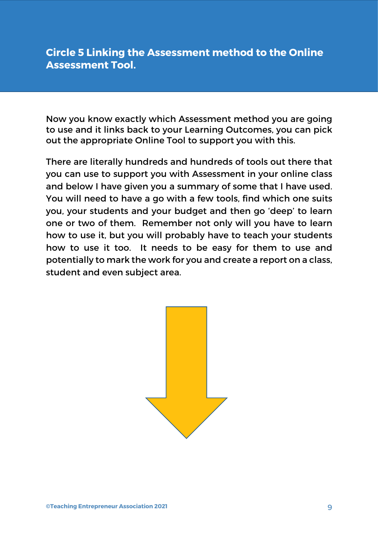### **Circle 5 Linking the Assessment method to the Online Assessment Tool.**

Now you know exactly which Assessment method you are going to use and it links back to your Learning Outcomes, you can pick out the appropriate Online Tool to support you with this.

There are literally hundreds and hundreds of tools out there that you can use to support you with Assessment in your online class and below I have given you a summary of some that I have used. You will need to have a go with a few tools, find which one suits you, your students and your budget and then go 'deep' to learn one or two of them. Remember not only will you have to learn how to use it, but you will probably have to teach your students how to use it too. It needs to be easy for them to use and potentially to mark the work for you and create a report on a class, student and even subject area.

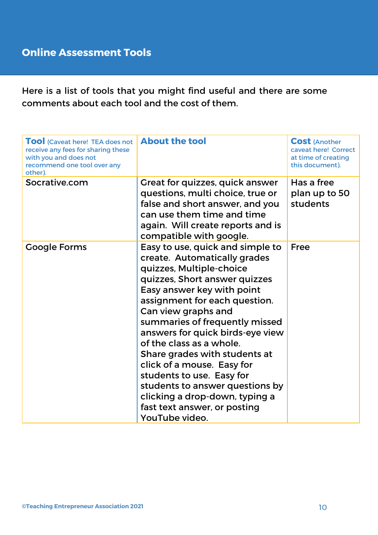Here is a list of tools that you might find useful and there are some comments about each tool and the cost of them.

| <b>TOOI</b> (Caveat here! TEA does not<br>receive any fees for sharing these<br>with you and does not<br>recommend one tool over any<br>other). | <b>About the tool</b>                                                                                                                                                                                                                                                                                                                                                                                                                                                                                                                    | <b>Cost (Another</b><br>caveat here! Correct<br>at time of creating<br>this document). |
|-------------------------------------------------------------------------------------------------------------------------------------------------|------------------------------------------------------------------------------------------------------------------------------------------------------------------------------------------------------------------------------------------------------------------------------------------------------------------------------------------------------------------------------------------------------------------------------------------------------------------------------------------------------------------------------------------|----------------------------------------------------------------------------------------|
| Socrative.com                                                                                                                                   | Great for quizzes, quick answer<br>questions, multi choice, true or<br>false and short answer, and you<br>can use them time and time<br>again. Will create reports and is<br>compatible with google.                                                                                                                                                                                                                                                                                                                                     | Has a free<br>plan up to 50<br>students                                                |
| <b>Google Forms</b>                                                                                                                             | Easy to use, quick and simple to<br>create. Automatically grades<br>quizzes, Multiple-choice<br>quizzes, Short answer quizzes<br>Easy answer key with point<br>assignment for each question.<br>Can view graphs and<br>summaries of frequently missed<br>answers for quick birds-eye view<br>of the class as a whole.<br>Share grades with students at<br>click of a mouse. Easy for<br>students to use. Easy for<br>students to answer questions by<br>clicking a drop-down, typing a<br>fast text answer, or posting<br>YouTube video. | Free                                                                                   |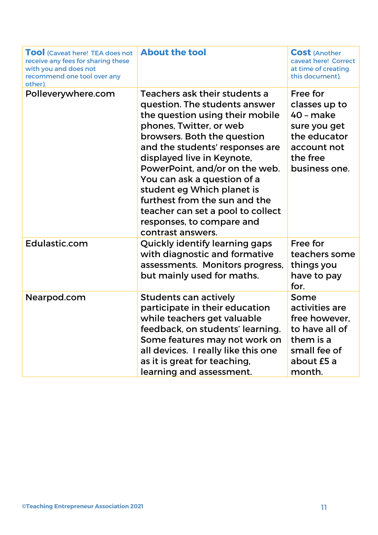| <b>TOOI</b> (Caveat here! TEA does not<br>receive any fees for sharing these<br>with you and does not<br>recommend one tool over any<br>other). | <b>About the tool</b>                                                                                                                                                                                                                                                                                                                                                                                                                               | <b>Cost (Another</b><br>caveat here! Correct<br>at time of creating<br>this document).                             |
|-------------------------------------------------------------------------------------------------------------------------------------------------|-----------------------------------------------------------------------------------------------------------------------------------------------------------------------------------------------------------------------------------------------------------------------------------------------------------------------------------------------------------------------------------------------------------------------------------------------------|--------------------------------------------------------------------------------------------------------------------|
| Polleverywhere.com                                                                                                                              | Teachers ask their students a<br>question. The students answer<br>the question using their mobile<br>phones, Twitter, or web<br>browsers. Both the question<br>and the students' responses are<br>displayed live in Keynote,<br>PowerPoint, and/or on the web.<br>You can ask a question of a<br>student eg Which planet is<br>furthest from the sun and the<br>teacher can set a pool to collect<br>responses, to compare and<br>contrast answers. | Free for<br>classes up to<br>40 - make<br>sure you get<br>the educator<br>account not<br>the free<br>business one. |
| Edulastic.com                                                                                                                                   | Quickly identify learning gaps<br>with diagnostic and formative<br>assessments. Monitors progress,<br>but mainly used for maths.                                                                                                                                                                                                                                                                                                                    | Free for<br>teachers some<br>things you<br>have to pay<br>for.                                                     |
| Nearpod.com                                                                                                                                     | <b>Students can actively</b><br>participate in their education<br>while teachers get valuable<br>feedback, on students' learning.<br>Some features may not work on<br>all devices. I really like this one<br>as it is great for teaching,<br>learning and assessment.                                                                                                                                                                               | Some<br>activities are<br>free however,<br>to have all of<br>them is a<br>small fee of<br>about £5 a<br>month.     |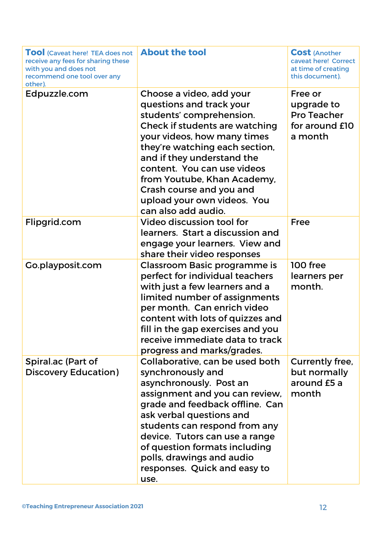| <b>TOOI</b> (Caveat here! TEA does not<br>receive any fees for sharing these<br>with you and does not<br>recommend one tool over any<br>other). | <b>About the tool</b>                                                                                                                                                                                                                                                                                                                                             | <b>Cost (Another)</b><br>caveat here! Correct<br>at time of creating<br>this document). |
|-------------------------------------------------------------------------------------------------------------------------------------------------|-------------------------------------------------------------------------------------------------------------------------------------------------------------------------------------------------------------------------------------------------------------------------------------------------------------------------------------------------------------------|-----------------------------------------------------------------------------------------|
| Edpuzzle.com                                                                                                                                    | Choose a video, add your<br>questions and track your<br>students' comprehension.<br>Check if students are watching<br>your videos, how many times<br>they're watching each section,<br>and if they understand the<br>content. You can use videos<br>from Youtube, Khan Academy,<br>Crash course and you and<br>upload your own videos. You<br>can also add audio. | Free or<br>upgrade to<br><b>Pro Teacher</b><br>for around <b>£10</b><br>a month         |
| Flipgrid.com                                                                                                                                    | Video discussion tool for<br>learners. Start a discussion and<br>engage your learners. View and<br>share their video responses                                                                                                                                                                                                                                    | <b>Free</b>                                                                             |
| Go.playposit.com                                                                                                                                | Classroom Basic programme is<br>perfect for individual teachers<br>with just a few learners and a<br>limited number of assignments<br>per month. Can enrich video<br>content with lots of quizzes and<br>fill in the gap exercises and you<br>receive immediate data to track<br>progress and marks/grades.                                                       | 100 free<br>learners per<br>month.                                                      |
| Spiral.ac (Part of<br><b>Discovery Education)</b>                                                                                               | Collaborative, can be used both<br>synchronously and<br>asynchronously. Post an<br>assignment and you can review,<br>grade and feedback offline. Can<br>ask verbal questions and<br>students can respond from any<br>device. Tutors can use a range<br>of question formats including<br>polls, drawings and audio<br>responses. Quick and easy to<br>use.         | Currently free,<br>but normally<br>around £5 a<br>month                                 |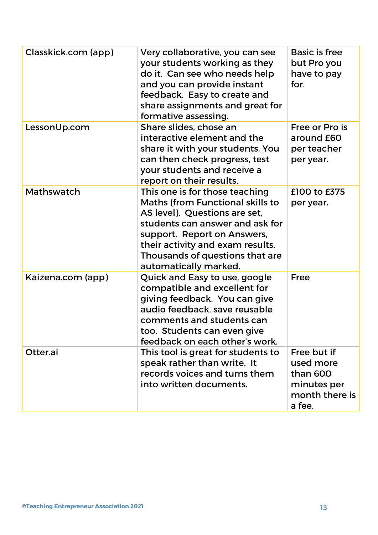| Classkick.com (app) | Very collaborative, you can see<br>your students working as they<br>do it. Can see who needs help<br>and you can provide instant<br>feedback. Easy to create and<br>share assignments and great for<br>formative assessing.                                           | <b>Basic is free</b><br>but Pro you<br>have to pay<br>for.                      |
|---------------------|-----------------------------------------------------------------------------------------------------------------------------------------------------------------------------------------------------------------------------------------------------------------------|---------------------------------------------------------------------------------|
| LessonUp.com        | Share slides, chose an<br>interactive element and the<br>share it with your students. You<br>can then check progress, test<br>your students and receive a<br>report on their results.                                                                                 | Free or Pro is<br>around £60<br>per teacher<br>per year.                        |
| Mathswatch          | This one is for those teaching<br>Maths (from Functional skills to<br>AS level). Questions are set,<br>students can answer and ask for<br>support. Report on Answers,<br>their activity and exam results.<br>Thousands of questions that are<br>automatically marked. | £100 to £375<br>per year.                                                       |
| Kaizena.com (app)   | Quick and Easy to use, google<br>compatible and excellent for<br>giving feedback. You can give<br>audio feedback, save reusable<br>comments and students can<br>too. Students can even give<br>feedback on each other's work.                                         | <b>Free</b>                                                                     |
| Otter.ai            | This tool is great for students to<br>speak rather than write. It<br>records voices and turns them<br>into written documents.                                                                                                                                         | Free but if<br>used more<br>than 600<br>minutes per<br>month there is<br>a fee. |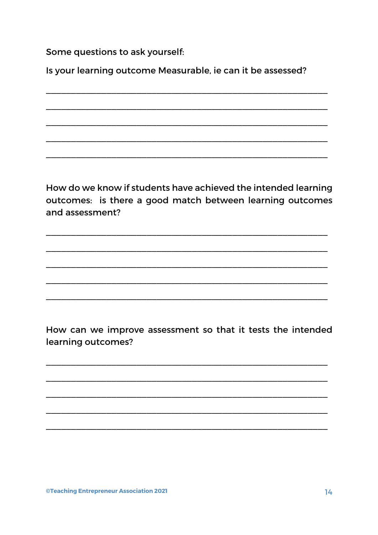Some questions to ask yourself:

Is your learning outcome Measurable, ie can it be assessed?

How do we know if students have achieved the intended learning outcomes: is there a good match between learning outcomes and assessment?

How can we improve assessment so that it tests the intended learning outcomes?

**©Teaching Entrepreneur Association 2021**